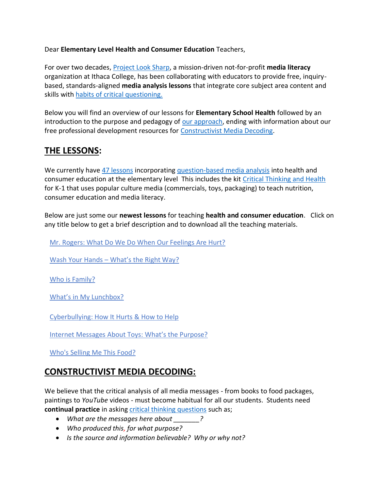## Dear **Elementary Level Health and Consumer Education** Teachers,

For over two decades, [Project Look Sharp,](https://www.projectlooksharp.org/) a mission-driven not-for-profit **media literacy** organization at Ithaca College, has been collaborating with educators to provide free, inquirybased, standards-aligned **media analysis lessons** that integrate core subject area content and skills with [habits of critical questioning.](https://projectlooksharp.org/Resources%202/Key-Questions-for-Decoding%20Dec-21.pdf)

Below you will find an overview of our lessons for **Elementary School Health** followed by an introduction to the purpose and pedagogy of [our approach,](https://projectlooksharp.org/our-approach.php) ending with information about our free professional development resources for [Constructivist Media Decoding.](https://projectlooksharp.org/our-approach.php#Constructivist)

## **THE LESSONS:**

We currently have [47 lessons](https://www.projectlooksharp.org/search-result.php?limit=10&search%5Bkeyword%5D=&search%5Bcategory%5D=all&search_filter%5Bresource_subject_area%5D%5B%5D=Health+Education&search_filter%5Bresource_grade_level%5D%5B%5D=lower+elementary&search_filter%5Bresource_grade_level%5D%5B%5D=upper+elementary) incorporating [question-based media analysis](https://projectlooksharp.org/our-approach.php#Constructivist) into health and consumer education at the elementary level This includes the kit [Critical Thinking and Health](https://projectlooksharp.org/front_end.php?kit_id=15) for K-1 that uses popular culture media (commercials, toys, packaging) to teach nutrition, consumer education and media literacy.

Below are just some our **newest lessons** for teaching **health and consumer education**. Click on any title below to get a brief description and to download all the teaching materials.

Mr. Rogers: What Do We Do When Our [Feelings](https://projectlooksharp.org/front_end_resource.php?resource_id=555) Are Hurt?

Wash Your Hands – [What's](https://projectlooksharp.org/front_end_resource.php?resource_id=502) the Right Way?

Who is [Family?](https://projectlooksharp.org/front_end_resource.php?resource_id=473)

What's in My [Lunchbox?](https://projectlooksharp.org/front_end_resource.php?resource_id=487)

[Cyberbullying:](https://projectlooksharp.org/front_end_resource.php?resource_id=515) How It Hurts & How to Help

Internet [Messages](https://projectlooksharp.org/front_end_resource.php?resource_id=533) About Toys: What's the Purpose?

[Who's](https://projectlooksharp.org/front_end_resource.php?resource_id=325) Selling Me This Food?

## **CONSTRUCTIVIST MEDIA DECODING:**

We believe that the critical analysis of all media messages - from books to food packages, paintings to *YouTube* videos - must become habitual for all our students. Students need **continual practice** in asking [critical thinking questions](https://projectlooksharp.org/Resources%202/Project%20Look%20Sharp%20Key%20Questions%20Both.pdf) such as;

- *What are the messages here about \_\_\_\_\_\_\_?*
- *Who produced this, for what purpose?*
- *Is the source and information believable? Why or why not?*